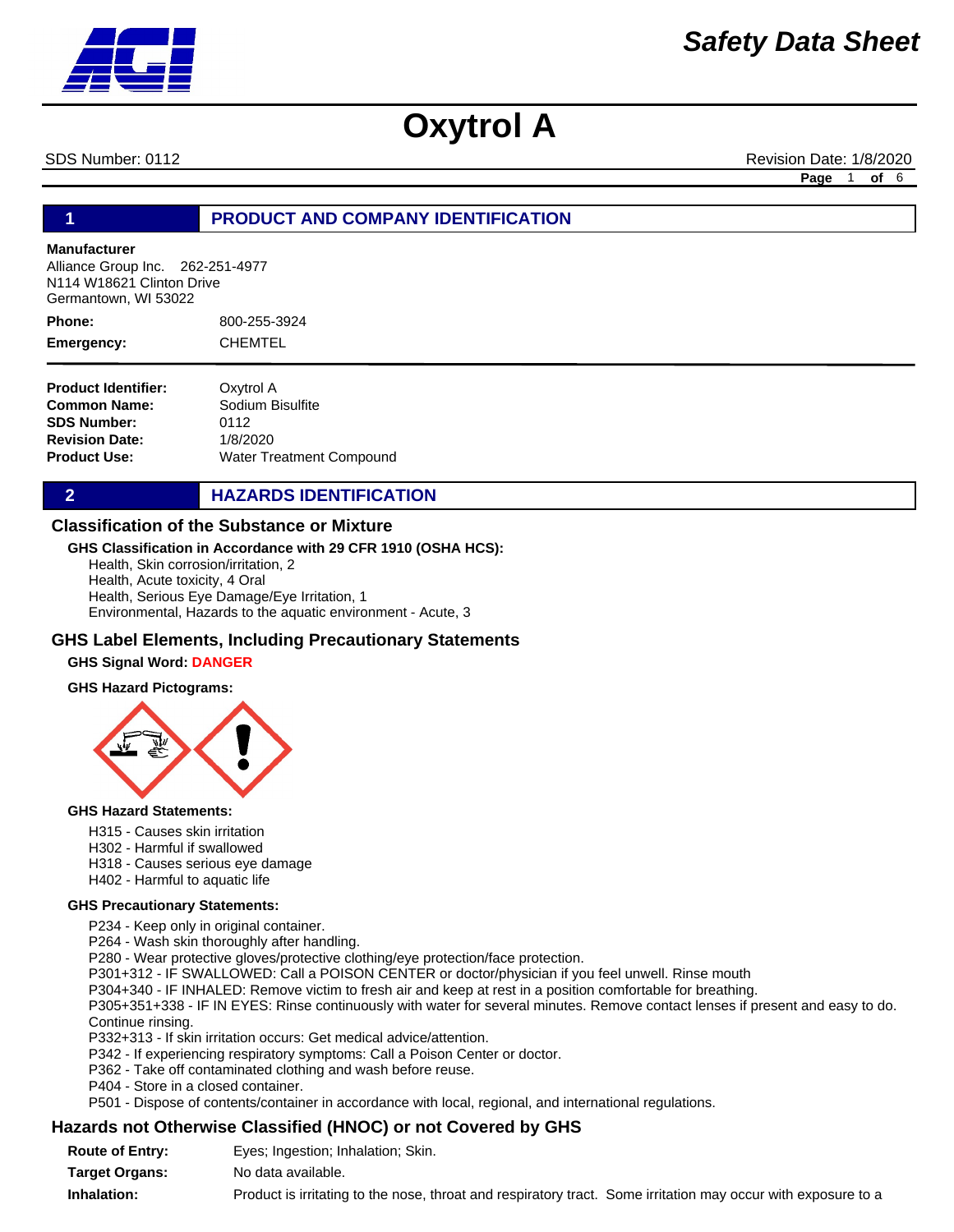SDS Number: 0112 **Revision Date: 1/8/2020** Revision Date: 1/8/2020

**Page** 1 **of** 6

# **1 PRODUCT AND COMPANY IDENTIFICATION**

### **Manufacturer**

Alliance Group Inc. 262-251-4977 N114 W18621 Clinton Drive Germantown, WI 53022

800-255-3924 CHEMTEL **Phone: Emergency:**

**Product Identifier: Common Name: SDS Number: Revision Date: Product Use:** Oxytrol A Sodium Bisulfite 0112 1/8/2020 Water Treatment Compound

**2 HAZARDS IDENTIFICATION** 

### **Classification of the Substance or Mixture**

### **GHS Classification in Accordance with 29 CFR 1910 (OSHA HCS):**

Health, Skin corrosion/irritation, 2 Health, Acute toxicity, 4 Oral Health, Serious Eye Damage/Eye Irritation, 1 Environmental, Hazards to the aquatic environment - Acute, 3

### **GHS Label Elements, Including Precautionary Statements**

#### **GHS Signal Word: DANGER**

#### **GHS Hazard Pictograms:**



#### **GHS Hazard Statements:**

- H315 Causes skin irritation
- H302 Harmful if swallowed
- H318 Causes serious eye damage
- H402 Harmful to aquatic life

#### **GHS Precautionary Statements:**

P234 - Keep only in original container.

P264 - Wash skin thoroughly after handling.

P280 - Wear protective gloves/protective clothing/eye protection/face protection.

P301+312 - IF SWALLOWED: Call a POISON CENTER or doctor/physician if you feel unwell. Rinse mouth

P304+340 - IF INHALED: Remove victim to fresh air and keep at rest in a position comfortable for breathing.

P305+351+338 - IF IN EYES: Rinse continuously with water for several minutes. Remove contact lenses if present and easy to do. Continue rinsing.

P332+313 - If skin irritation occurs: Get medical advice/attention.

P342 - If experiencing respiratory symptoms: Call a Poison Center or doctor.

P362 - Take off contaminated clothing and wash before reuse.

P404 - Store in a closed container.

P501 - Dispose of contents/container in accordance with local, regional, and international regulations.

### **Hazards not Otherwise Classified (HNOC) or not Covered by GHS**

| <b>Route of Entry:</b> | Eyes; Ingestion; Inhalation; Skin.                                                                            |
|------------------------|---------------------------------------------------------------------------------------------------------------|
| <b>Target Organs:</b>  | No data available.                                                                                            |
| Inhalation:            | Product is irritating to the nose, throat and respiratory tract. Some irritation may occur with exposure to a |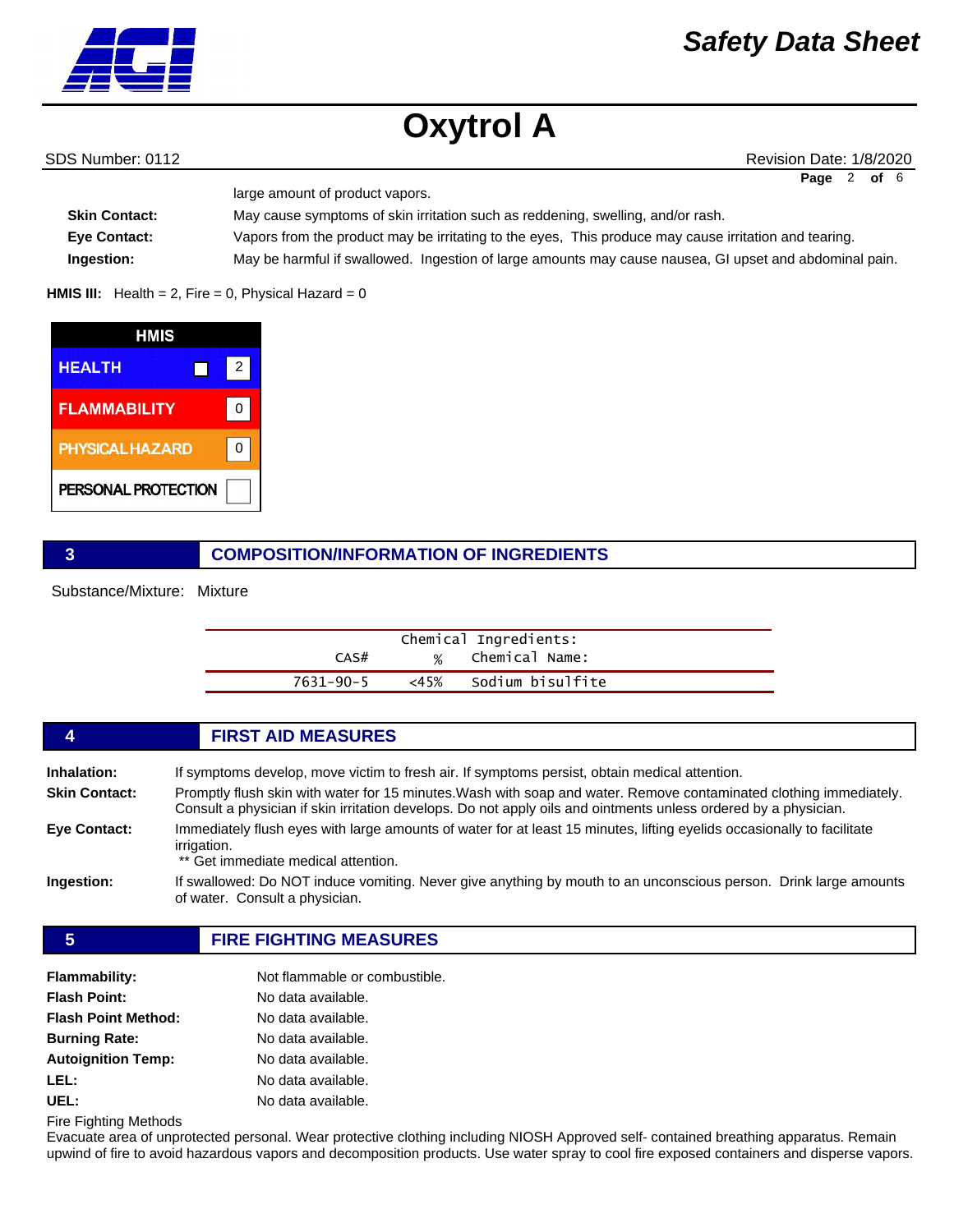

SDS Number: 0112 **Revision Date: 1/8/2020** Revision Date: 1/8/2020 **Page** 2 **of** 6

| large amount of product vapors. |                                                                                                        |
|---------------------------------|--------------------------------------------------------------------------------------------------------|
| <b>Skin Contact:</b>            | May cause symptoms of skin irritation such as reddening, swelling, and/or rash.                        |
| <b>Eve Contact:</b>             | Vapors from the product may be irritating to the eyes. This produce may cause irritation and tearing.  |
| Ingestion:                      | May be harmful if swallowed. Ingestion of large amounts may cause nausea, GI upset and abdominal pain. |

**HMIS III:** Health = 2, Fire = 0, Physical Hazard =  $0$ 

| HMIS                   |   |  |
|------------------------|---|--|
| <b>HEALTH</b>          | 2 |  |
| <b>FLAMMABILITY</b>    |   |  |
| <b>PHYSICAL HAZARD</b> |   |  |
| PERSONAL PROTECTION    |   |  |

# **3 COMPOSITION/INFORMATION OF INGREDIENTS**

Substance/Mixture: Mixture

|           |               | Chemical Ingredients: |
|-----------|---------------|-----------------------|
| CAS#      | $\frac{9}{6}$ | Chemical Name:        |
| 7631-90-5 | <45%          | Sodium bisulfite      |

|                      | <b>FIRST AID MEASURES</b>                                                                                                                                                                                                             |
|----------------------|---------------------------------------------------------------------------------------------------------------------------------------------------------------------------------------------------------------------------------------|
| Inhalation:          | If symptoms develop, move victim to fresh air. If symptoms persist, obtain medical attention.                                                                                                                                         |
| <b>Skin Contact:</b> | Promptly flush skin with water for 15 minutes. Wash with soap and water. Remove contaminated clothing immediately.<br>Consult a physician if skin irritation develops. Do not apply oils and ointments unless ordered by a physician. |
| Eye Contact:         | Immediately flush eyes with large amounts of water for at least 15 minutes, lifting eyelids occasionally to facilitate<br>irrigation.<br>** Get immediate medical attention.                                                          |
| Ingestion:           | If swallowed: Do NOT induce vomiting. Never give anything by mouth to an unconscious person. Drink large amounts<br>of water. Consult a physician.                                                                                    |
|                      |                                                                                                                                                                                                                                       |

**5 FIRE FIGHTING MEASURES**

| <b>Flammability:</b>       | Not flammable or combustible. |
|----------------------------|-------------------------------|
| <b>Flash Point:</b>        | No data available.            |
| <b>Flash Point Method:</b> | No data available.            |
| <b>Burning Rate:</b>       | No data available.            |
| <b>Autoignition Temp:</b>  | No data available.            |
| LEL:                       | No data available.            |
| UEL:                       | No data available.            |

Fire Fighting Methods

Evacuate area of unprotected personal. Wear protective clothing including NIOSH Approved self- contained breathing apparatus. Remain upwind of fire to avoid hazardous vapors and decomposition products. Use water spray to cool fire exposed containers and disperse vapors.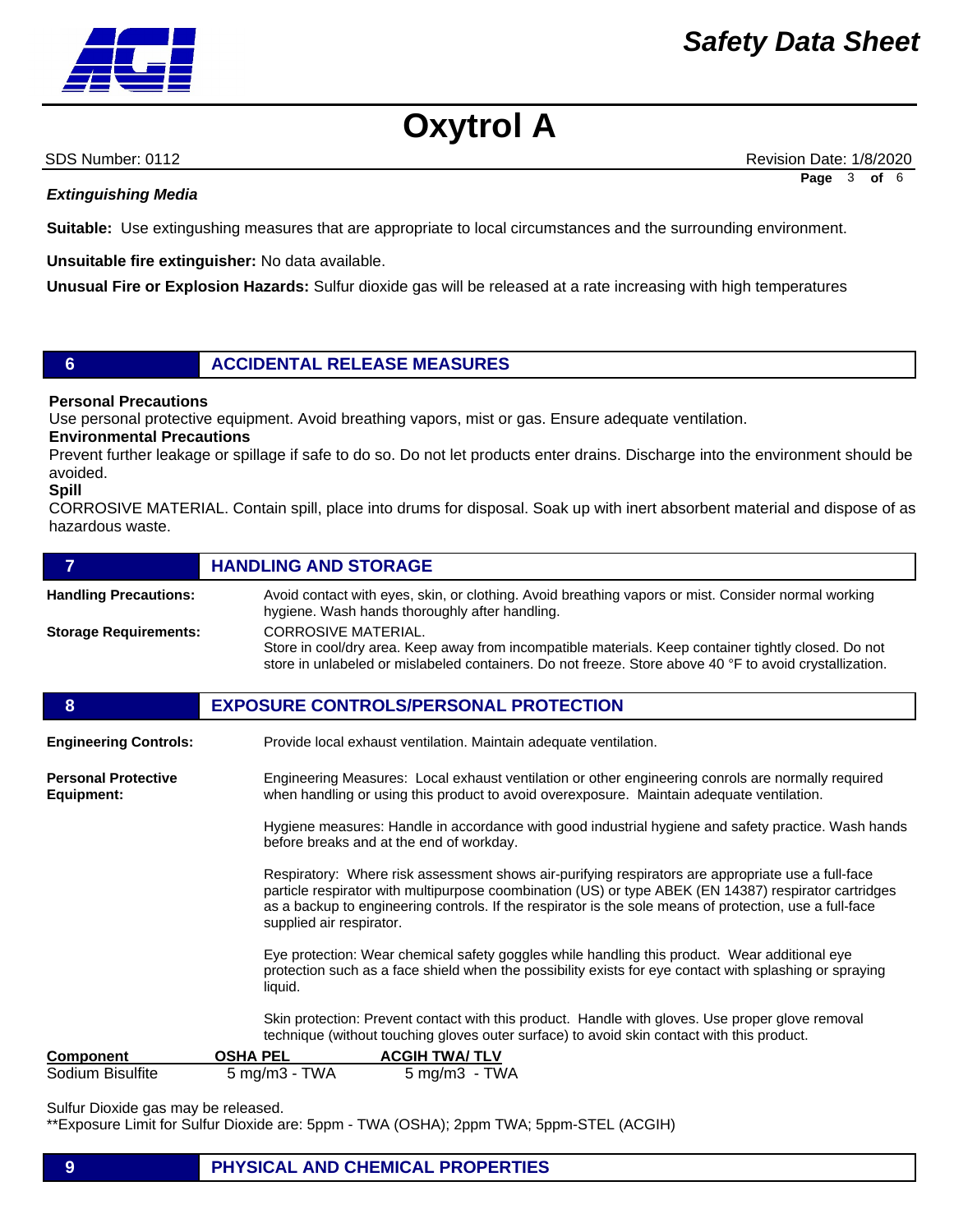

| <b>Oxytrol A</b> |  |
|------------------|--|
|------------------|--|

SDS Number: 0112 **Revision Date: 1/8/2020** Revision Date: 1/8/2020 **Page** 3 **of** 6

## *Extinguishing Media*

**Suitable:** Use extingushing measures that are appropriate to local circumstances and the surrounding environment.

**Unsuitable fire extinguisher:** No data available.

**Unusual Fire or Explosion Hazards:** Sulfur dioxide gas will be released at a rate increasing with high temperatures

# **6 ACCIDENTAL RELEASE MEASURES**

### **Personal Precautions**

Use personal protective equipment. Avoid breathing vapors, mist or gas. Ensure adequate ventilation.

**Environmental Precautions** 

Prevent further leakage or spillage if safe to do so. Do not let products enter drains. Discharge into the environment should be avoided.

#### **Spill**

CORROSIVE MATERIAL. Contain spill, place into drums for disposal. Soak up with inert absorbent material and dispose of as hazardous waste.

| $\overline{7}$                           | <b>HANDLING AND STORAGE</b>                                                                                                                                                                                                                                                                                                                        |  |  |
|------------------------------------------|----------------------------------------------------------------------------------------------------------------------------------------------------------------------------------------------------------------------------------------------------------------------------------------------------------------------------------------------------|--|--|
| <b>Handling Precautions:</b>             | Avoid contact with eyes, skin, or clothing. Avoid breathing vapors or mist. Consider normal working<br>hygiene. Wash hands thoroughly after handling.                                                                                                                                                                                              |  |  |
| <b>Storage Requirements:</b>             | <b>CORROSIVE MATERIAL.</b><br>Store in cool/dry area. Keep away from incompatible materials. Keep container tightly closed. Do not<br>store in unlabeled or mislabeled containers. Do not freeze. Store above 40 °F to avoid crystallization.                                                                                                      |  |  |
| 8                                        | <b>EXPOSURE CONTROLS/PERSONAL PROTECTION</b>                                                                                                                                                                                                                                                                                                       |  |  |
| <b>Engineering Controls:</b>             | Provide local exhaust ventilation. Maintain adequate ventilation.                                                                                                                                                                                                                                                                                  |  |  |
| <b>Personal Protective</b><br>Equipment: | Engineering Measures: Local exhaust ventilation or other engineering conrols are normally required<br>when handling or using this product to avoid overexposure. Maintain adequate ventilation.                                                                                                                                                    |  |  |
|                                          | Hygiene measures: Handle in accordance with good industrial hygiene and safety practice. Wash hands<br>before breaks and at the end of workday.                                                                                                                                                                                                    |  |  |
|                                          | Respiratory: Where risk assessment shows air-purifying respirators are appropriate use a full-face<br>particle respirator with multipurpose coombination (US) or type ABEK (EN 14387) respirator cartridges<br>as a backup to engineering controls. If the respirator is the sole means of protection, use a full-face<br>supplied air respirator. |  |  |
|                                          | Eye protection: Wear chemical safety goggles while handling this product. Wear additional eye<br>protection such as a face shield when the possibility exists for eye contact with splashing or spraying<br>liquid.                                                                                                                                |  |  |
|                                          | Skin protection: Prevent contact with this product. Handle with gloves. Use proper glove removal<br>technique (without touching gloves outer surface) to avoid skin contact with this product.                                                                                                                                                     |  |  |
| <b>Component</b>                         | <b>OSHA PEL</b><br><b>ACGIH TWA/TLV</b>                                                                                                                                                                                                                                                                                                            |  |  |
| Sodium Bisulfite                         | $5$ mg/m $3$ - TWA<br>$5 \text{ mg/m}3 - \text{T}WA$                                                                                                                                                                                                                                                                                               |  |  |

Sulfur Dioxide gas may be released.

\*\*Exposure Limit for Sulfur Dioxide are: 5ppm - TWA (OSHA); 2ppm TWA; 5ppm-STEL (ACGIH)

# **9 PHYSICAL AND CHEMICAL PROPERTIES**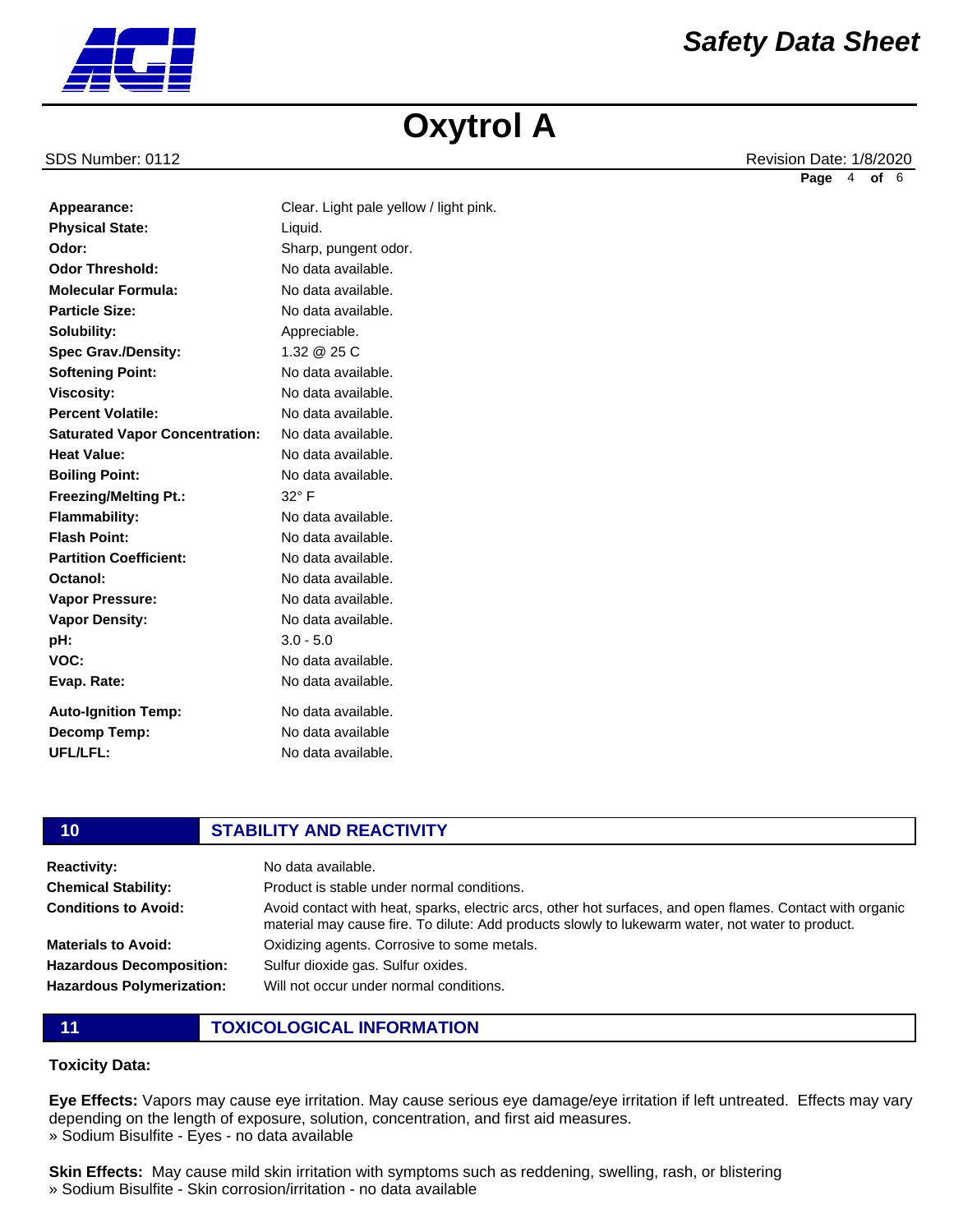SDS Number: 0112 **Revision Date: 1/8/2020** Revision Date: 1/8/2020 **Page** 4 **of** 6

*Safety Data Sheet*

| J. |  |  |
|----|--|--|
|    |  |  |
|    |  |  |

| Appearance:                           | Clear. Light pale yellow / light pink. |
|---------------------------------------|----------------------------------------|
| <b>Physical State:</b>                | Liquid.                                |
| Odor:                                 | Sharp, pungent odor.                   |
| <b>Odor Threshold:</b>                | No data available.                     |
| <b>Molecular Formula:</b>             | No data available.                     |
| <b>Particle Size:</b>                 | No data available.                     |
| Solubility:                           | Appreciable.                           |
| <b>Spec Grav./Density:</b>            | 1.32 @ 25 C                            |
| <b>Softening Point:</b>               | No data available.                     |
| <b>Viscosity:</b>                     | No data available.                     |
| <b>Percent Volatile:</b>              | No data available.                     |
| <b>Saturated Vapor Concentration:</b> | No data available.                     |
| <b>Heat Value:</b>                    | No data available.                     |
| <b>Boiling Point:</b>                 | No data available.                     |
| <b>Freezing/Melting Pt.:</b>          | $32^\circ$ F                           |
| Flammability:                         | No data available.                     |
| <b>Flash Point:</b>                   | No data available.                     |
| <b>Partition Coefficient:</b>         | No data available.                     |
| Octanol:                              | No data available.                     |
| <b>Vapor Pressure:</b>                | No data available.                     |
| <b>Vapor Density:</b>                 | No data available.                     |
| pH:                                   | $3.0 - 5.0$                            |
| VOC:                                  | No data available.                     |
| Evap. Rate:                           | No data available.                     |
| <b>Auto-Ignition Temp:</b>            | No data available.                     |
| Decomp Temp:                          | No data available                      |
| UFL/LFL:                              | No data available.                     |

**Appearance:** Clear. Light pale yellow / light pink.

| 10                               | <b>STABILITY AND REACTIVITY</b>                                                                                                                                                                               |  |
|----------------------------------|---------------------------------------------------------------------------------------------------------------------------------------------------------------------------------------------------------------|--|
| <b>Reactivity:</b>               | No data available.                                                                                                                                                                                            |  |
| <b>Chemical Stability:</b>       | Product is stable under normal conditions.                                                                                                                                                                    |  |
| <b>Conditions to Avoid:</b>      | Avoid contact with heat, sparks, electric arcs, other hot surfaces, and open flames. Contact with organic<br>material may cause fire. To dilute: Add products slowly to lukewarm water, not water to product. |  |
| <b>Materials to Avoid:</b>       | Oxidizing agents. Corrosive to some metals.                                                                                                                                                                   |  |
| <b>Hazardous Decomposition:</b>  | Sulfur dioxide gas. Sulfur oxides.                                                                                                                                                                            |  |
| <b>Hazardous Polymerization:</b> | Will not occur under normal conditions.                                                                                                                                                                       |  |
|                                  |                                                                                                                                                                                                               |  |

# **11 TOXICOLOGICAL INFORMATION**

# **Toxicity Data:**

**Eye Effects:** Vapors may cause eye irritation. May cause serious eye damage/eye irritation if left untreated. Effects may vary depending on the length of exposure, solution, concentration, and first aid measures. » Sodium Bisulfite - Eyes - no data available

**Skin Effects:** May cause mild skin irritation with symptoms such as reddening, swelling, rash, or blistering » Sodium Bisulfite - Skin corrosion/irritation - no data available

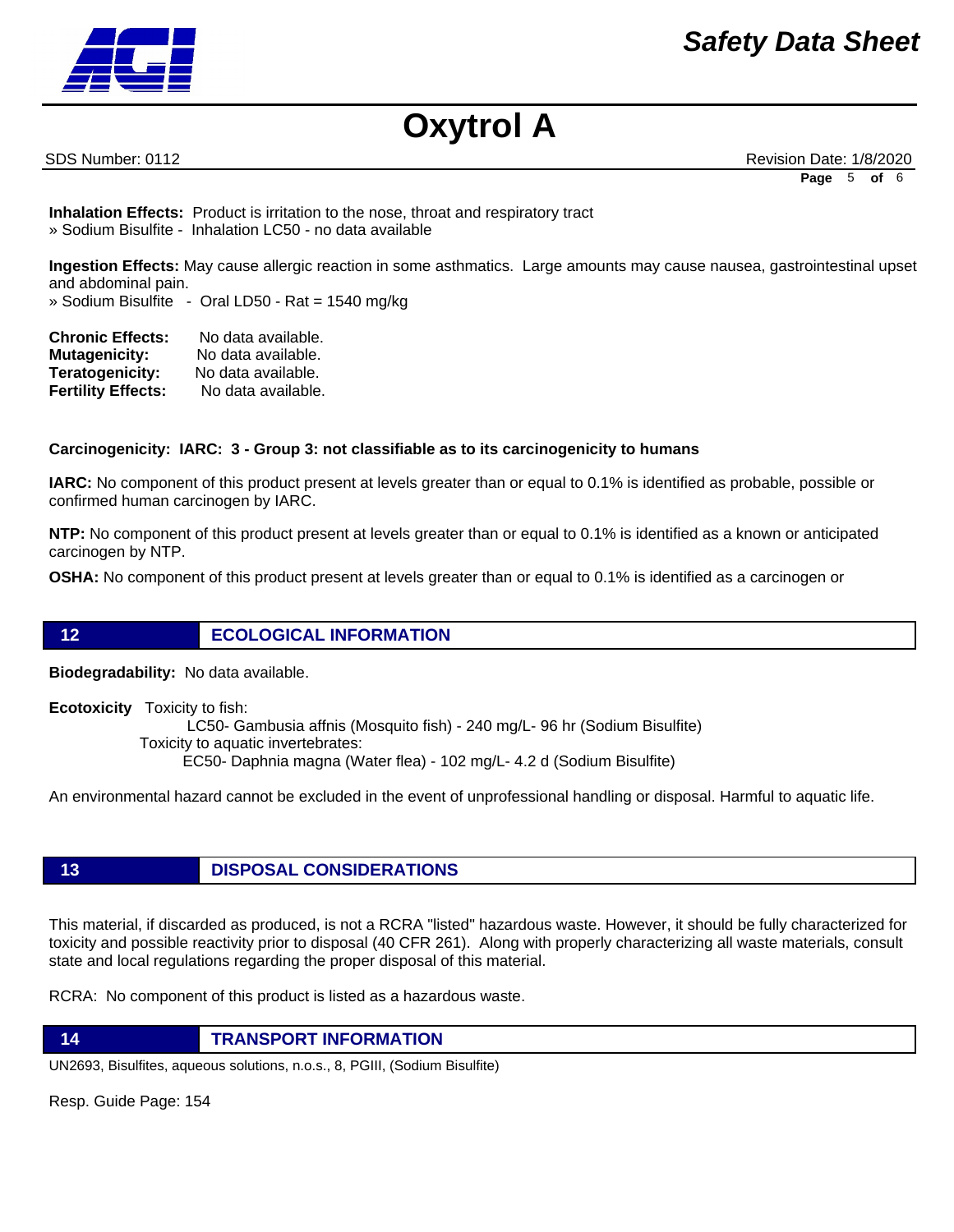

SDS Number: 0112 **Revision Date: 1/8/2020** Revision Date: 1/8/2020 **Page** 5 **of** 6

**Inhalation Effects:** Product is irritation to the nose, throat and respiratory tract » Sodium Bisulfite - Inhalation LC50 - no data available

**Ingestion Effects:** May cause allergic reaction in some asthmatics. Large amounts may cause nausea, gastrointestinal upset and abdominal pain.

» Sodium Bisulfite - Oral LD50 - Rat = 1540 mg/kg

| <b>Chronic Effects:</b>   | No data available. |
|---------------------------|--------------------|
| <b>Mutagenicity:</b>      | No data available. |
| <b>Teratogenicity:</b>    | No data available. |
| <b>Fertility Effects:</b> | No data available. |

# **Carcinogenicity: IARC: 3 - Group 3: not classifiable as to its carcinogenicity to humans**

**IARC:** No component of this product present at levels greater than or equal to 0.1% is identified as probable, possible or confirmed human carcinogen by IARC.

**NTP:** No component of this product present at levels greater than or equal to 0.1% is identified as a known or anticipated carcinogen by NTP.

**OSHA:** No component of this product present at levels greater than or equal to 0.1% is identified as a carcinogen or

# **12 ECOLOGICAL INFORMATION**

**Biodegradability:** No data available.

**Ecotoxicity** Toxicity to fish: LC50- Gambusia affnis (Mosquito fish) - 240 mg/L- 96 hr (Sodium Bisulfite) Toxicity to aquatic invertebrates: EC50- Daphnia magna (Water flea) - 102 mg/L- 4.2 d (Sodium Bisulfite)

An environmental hazard cannot be excluded in the event of unprofessional handling or disposal. Harmful to aquatic life.

# **13 DISPOSAL CONSIDERATIONS**

This material, if discarded as produced, is not a RCRA "listed" hazardous waste. However, it should be fully characterized for toxicity and possible reactivity prior to disposal (40 CFR 261). Along with properly characterizing all waste materials, consult state and local regulations regarding the proper disposal of this material.

RCRA: No component of this product is listed as a hazardous waste.

**14 TRANSPORT INFORMATION**

UN2693, Bisulfites, aqueous solutions, n.o.s., 8, PGIII, (Sodium Bisulfite)

Resp. Guide Page: 154